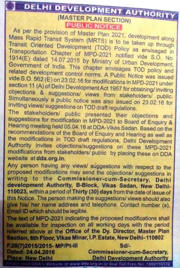## **DEVELOPMENT AUTHORIT DELHI** (MASTER PLAN SECTION) **PUBLIC NOTICE**

As per the provision of Master Plan 2021, development along Mass Rapid Transit System (MRTS) is to be taken up through Transit Oriented Development (TOD) Policy as envisaged in Transportation Chapter of MPD-2021 notified vide S.O. No. 1914(E) dated 14.07.2015 by Ministry of Urban Development, Government of India. This chapter envisages TOD policy and related development control norms. A Public Notice was issued vide S.O. 562 (E) on 23.02.16 for modifications in MPD-2021 under section 11 (A) of Delhi Development Act 1957 for obtaining/ inviting objections & suggestions/ views from stakeholders/ public. Simultaneously a public notice was also issued on 23.02.16 for inviting views/ suggestions on TOD draft regulations.

The stakeholders/ public presented their objections and suggestions for modification in MPD-2021 to Board of Enquiry & Hearing meeting held 05.04.16 at DDA-Vikas Sadan. Based on the recommendations of the Board of Enquiry and Hearing as well as the modifications in TOD draft regulations, Delhi Development Authority invites objections/suggestions on these MPD-2021 modifications from stakeholders/ public by placing these on DDA website at dda.org.in.

Any person having any views/ suggestions with respect to the proposed modifications may send the objections/ suggestions in writing to the Commissioner-cum-Secretary, Delhi development Authority, B-Block, Vikas Sadan, New Delhi-110023, within a period of Thirty (30) days from the date of issue of this Notice. The person making the suggestions/ views should also give his/ her name address and telephone. Contact number (s), Email ID which should be legible.

The text of MPD-2021 indicating the proposed modifications shall be available for inspection on all working days with the period referred above at the Office of the Dy. Director, Master Plan Section, 6th Floor, Vikas Minar, I.P. Estate, New Delhi-110002 F.20(7)2015/2015-MP/Pt-III Sd/-**Commissioner-cum-Secretary,** Dated: 24.04.2016 **Place: New Delhi Delhi Development Authority** 

Please visit DDA's Website at www.dda.org.in or Dial Toll Free No. 1800110332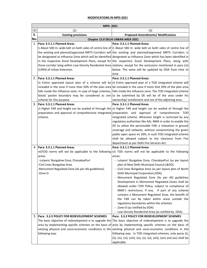## **MODIFICATIONS IN MPD‐2021**

| (1)<br>(3)<br>(2)                                                                                                                                                                            |  |
|----------------------------------------------------------------------------------------------------------------------------------------------------------------------------------------------|--|
|                                                                                                                                                                                              |  |
| S.<br><b>Proposed Amendments/ Modifications</b><br><b>Existing provisions</b>                                                                                                                |  |
| No.<br>Chapter 13.0 DELHI URBAN AREA 2021                                                                                                                                                    |  |
| 1.<br>Para: 3.3.1.1 Planned Areas<br>Para: 3.3.1.1 Planned Areas                                                                                                                             |  |
| i) About 500 m. wide belt on both sides of centre line of i) About 500 m. wide belt on both sides of centre line of                                                                          |  |
| the existing and planned/approved MRTS Corridors will the existing and planned/approved MRTS Corridors is                                                                                    |  |
| be designated as Influence Zone which will be identified designated as Influence Zone which has been identified in                                                                           |  |
| in the respective Zonal Development Plans, except for the respective Zonal Development Plans, along with                                                                                     |  |
| those corridor lying within Low Density Residential Area stations, except for the exclusions mentioned in para (vi)                                                                          |  |
| (LDRA) of Urban Extension.<br>below. The same will be updated by DDA from time to                                                                                                            |  |
| time.                                                                                                                                                                                        |  |
| Para: 3.3.1.1 Planned Areas<br>2. Para: 3.3.1.1 Planned Areas                                                                                                                                |  |
| ii) Entire approved layout plan of a scheme will be ii) Entire approved plan of a TOD integrated scheme will                                                                                 |  |
| included in the zone if more than 50% of the plan area be included in the zone if more that 50% of the plan area                                                                             |  |
| falls inside the influence zone. In case of large schemes, falls inside the influence zone. The TOD integrated scheme                                                                        |  |
| block/ pocket boundary may be considered as one to be submitted by DE will be of the area under his                                                                                          |  |
| ownership/ entitlement and not of the adjoining area.<br>scheme for this purpose.                                                                                                            |  |
| 3. Para: 3.3.1.1 Planned Areas<br>Para: 3.3.1.1 Planned Areas                                                                                                                                |  |
| v) Higher FAR and height can be availed of through the v) Higher FAR and height can be availed of through the                                                                                |  |
| preparation and approval of comprehensive integrated preparation and approval of comprehensive TOD<br>scheme.                                                                                |  |
| integrated scheme. Wherever height is restricted by any<br>regulatory authorities like AAI, NMA in order to enable the                                                                       |  |
| DE to utilize the permissible FAR, a relaxation in ground                                                                                                                                    |  |
| coverage and setbacks, without compromising the green                                                                                                                                        |  |
| public open space viz 20%, in such TOD integrated scheme                                                                                                                                     |  |
| shall be allowed subject to the clearance from Fire                                                                                                                                          |  |
| department as per Delhi Fire Services Act.                                                                                                                                                   |  |
| Para: 3.3.1.1 Planned Areas<br>Para: 3.3.1.1 Planned Areas<br>4                                                                                                                              |  |
| vii)TOD norms will not be applicable to the following<br>vi) TOD norms will not be applicable to the following                                                                               |  |
| areas:<br>areas:                                                                                                                                                                             |  |
| -Lutyens' Bungalow Zone, ChanakyaPuri<br>- Lutyens' Bungalow Zone, ChanakyaPuri (as per layout                                                                                               |  |
| -Civil Lines Bungalow Area.<br>plan of New Delhi Municipal Council, L&DO).                                                                                                                   |  |
| - Civil Lines Bungalow Area (as per layout plan of North<br>-Monument Regulated Zone (As per ASI guidelines).                                                                                |  |
| Delhi Municipal Corporation, DDA).<br>-Zone-O                                                                                                                                                |  |
| Monument Regulated Zone (As per ASI guidelines                                                                                                                                               |  |
| Development in Monument Regulated Zones shall be                                                                                                                                             |  |
| allowed under TOD Policy, subject to compliance of                                                                                                                                           |  |
| NMA's restrictions, if any. If part of any scheme                                                                                                                                            |  |
| contains a Monument Regulated Zone, the benefit of                                                                                                                                           |  |
| the FAR can be taken within areas outside the                                                                                                                                                |  |
| regulatory boundaries within the scheme).                                                                                                                                                    |  |
| - Zone-O (as notified by DDA)                                                                                                                                                                |  |
| - Low Density Residential Area (as notified by DDA).                                                                                                                                         |  |
| 5.<br>Para: 3.3.2 POLICY FOR REDEVELOPMENT SCHEMES<br>Para: 3.3.2 POLICY FOR REDEVELOPMENT SCHEMES                                                                                           |  |
| The basic objective of redevelopment is to upgrade the The basic objective of redevelopment is to upgrade the                                                                                |  |
| area by implementing specific schemes on the basis of area by implementing specific schemes on the basis of                                                                                  |  |
| existing physical and socio-economic conditions in the existing physical and socio-economic conditions in the<br>following way:<br>following way. In TOD integrated schemes, only paras (i), |  |
| (ii), (iv), (vi), (viii), (ix), (x), (xi), (xiii), (xiv) and (xv) shall be                                                                                                                   |  |
| applicable.                                                                                                                                                                                  |  |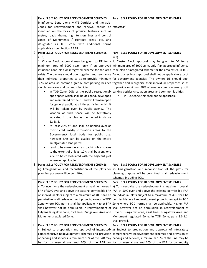| 6 | <b>Para: 3.3.2 POLICY FOR REDEVELOPMENT SCHEMES</b>     | Para: 3.3.2 POLICY FOR REDEVELOPMENT SCHEMES                                                                       |
|---|---------------------------------------------------------|--------------------------------------------------------------------------------------------------------------------|
|   | i) Influence Zone along MRTS Corridor and the Sub-      |                                                                                                                    |
|   | Zones for redevelopment and renewal should be "Deleted" |                                                                                                                    |
|   | identified on the basis of physical features such as    |                                                                                                                    |
|   | metro, roads, drains, high tension lines and control    |                                                                                                                    |
|   | zones of Monuments / Heritage areas, etc. and           |                                                                                                                    |
|   | designated as TOD Zone with additional norms            |                                                                                                                    |
|   | applicable as per Section 12.18.                        |                                                                                                                    |
| 7 | Para: 3.3.2 POLICY FOR REDEVELOPMENT SCHEMES            | Para: 3.3.2 POLICY FOR REDEVELOPMENT SCHEMES                                                                       |
|   | iii. b)                                                 | iii b)                                                                                                             |
|   |                                                         | 1. Cluster Block approval may be given to DE for $a 1$ . Cluster Block approval may be given to DE for a           |
|   |                                                         | minimum area of 3000 sq.m. only if an approved minimum area of 3000 sq.m. only if an approved influence            |
|   |                                                         | influence zone plan or integrated scheme for the area zone plan or integrated scheme for the area exists. In TOD   |
|   |                                                         | exists. The owners should pool together and reorganise Zone, cluster block approval shall not be applicable except |
|   |                                                         | their individual properties so as to provide minimum for government agencies. The owners DE should pool            |
|   |                                                         | 30% of area as common green/ soft parking besides together and reorganise their individual properties so as        |
|   | circulation areas and common facilities.                | to provide minimum 30% of area as common green/ soft                                                               |
|   |                                                         | In TOD Zone, 20% of the public recreational/ parking besides circulation areas and common facilities.              |
|   | open space which shall be designed, developed           | In TOD Zone, this shall not be applicable.<br>$\bullet$                                                            |
|   | and maintained by the DE and will remain open           |                                                                                                                    |
|   | for general public at all times, failing which it       |                                                                                                                    |
|   | will be taken over by Public agency. The                |                                                                                                                    |
|   | location of such space will be tentatively              |                                                                                                                    |
|   | indicated in the plan as mentioned in clause            |                                                                                                                    |
|   | 12.18.1.                                                |                                                                                                                    |
|   | At least 20% of land shall be handed over as            |                                                                                                                    |
|   | constructed roads/ circulation areas to the             |                                                                                                                    |
|   | Government/ local body for public use.                  |                                                                                                                    |
|   | However FAR can be availed on the entire                |                                                                                                                    |
|   | amalgamated land parcel.                                |                                                                                                                    |
|   | Land to be surrendered as roads/ public spaces<br>٠     |                                                                                                                    |
|   | to the extent of at least 10% shall be along one        |                                                                                                                    |
|   | side, to be consolidated with the adjacent plot         |                                                                                                                    |
|   | wherever applicable.                                    |                                                                                                                    |
| 8 | Para: 3.3.2 POLICY FOR REDEVELOPMENT SCHEMES            | Para: 3.3.2 POLICY FOR REDEVELOPMENT SCHEMES                                                                       |
|   |                                                         | iv) Amalgamation and reconstitution of the plots for iv) Amalgamation and reconstitution of the plots for          |
|   | planning purpose will be permitted.                     | planning purpose will be permitted in all redevelopment                                                            |
|   |                                                         | schemes, including TOD.                                                                                            |
| 9 | Para: 3.3.2 POLICY FOR REDEVELOPMENT SCHEMES            | Para: 3.3.2 POLICY FOR REDEVELOPMENT SCHEMES                                                                       |
|   |                                                         | v) To incentivise the redevelopment a maximum overall v) To incentivise the redevelopment a maximum overall        |
|   |                                                         | FAR of 50% over and above the existing permissible FAR FAR of 50% over and above the existing permissible FAR      |
|   |                                                         | on individual plots subject to a maximum of 400 shall be on individual plots subject to a maximum of 400 shall be  |
|   |                                                         | permissible in all redevelopment projects, except in TOD permissible in all redevelopment projects, except in TOD  |
|   |                                                         | Zone where TOD norms shall be applicable. Higher FAR Zone where TOD norms shall be applicable. Higher FAR          |
|   |                                                         | shall however not be permissible in redevelopment of shall however not be permissible in redevelopment of          |
|   |                                                         | Lutyens Bungalow Zone, Civil Lines Bungalows Area and Lutyens Bungalow Zone, Civil Lines Bungalows Area and        |
|   | Monument regulated Zone.                                | Monument regulated Zone. In TOD Zone, para 3.3.1.1.                                                                |
|   |                                                         | shall prevail.                                                                                                     |
|   | 10   Para: 3.3.2 POLICY FOR REDEVELOPMENT SCHEMES       | Para: 3.3.2 POLICY FOR REDEVELOPMENT SCHEMES                                                                       |
|   |                                                         | x) Subject to preparation and approval of integrated/ x) Subject to preparation and approval of integrated/        |
|   |                                                         | comprehensive Redevelopment schemes and provision comprehensive Redevelopment schemes and provision of             |
|   |                                                         | of parking and services, a minimum 10% of the FAR may parking and services, a minimum 10% of the FAR may be        |
|   |                                                         | be for commercial use and 10% of the FAR for for commercial use and 10% of the FAR for community                   |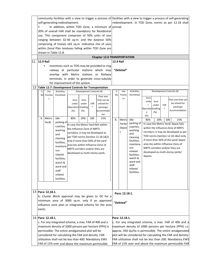|                                                                  |                   |                                                        |                                    |                          |                                                              | community facilities with a view to trigger a process of facilities with a view to trigger a process of self-generating |                                                      |                                                        |                                                       |                                                                      |  |  |
|------------------------------------------------------------------|-------------------|--------------------------------------------------------|------------------------------------|--------------------------|--------------------------------------------------------------|-------------------------------------------------------------------------------------------------------------------------|------------------------------------------------------|--------------------------------------------------------|-------------------------------------------------------|----------------------------------------------------------------------|--|--|
| self-generating redevelopment.                                   |                   |                                                        |                                    |                          |                                                              |                                                                                                                         | redevelopment. In TOD Zone, norms as per 12.18 shall |                                                        |                                                       |                                                                      |  |  |
| In addition, within TOD Zone, a minimum of prevail.<br>$\bullet$ |                   |                                                        |                                    |                          |                                                              |                                                                                                                         |                                                      |                                                        |                                                       |                                                                      |  |  |
|                                                                  |                   |                                                        |                                    |                          |                                                              | 30% of overall FAR shall be mandatory for Residential                                                                   |                                                      |                                                        |                                                       |                                                                      |  |  |
|                                                                  |                   |                                                        |                                    |                          |                                                              | use. This component comprises of 50% units of size                                                                      |                                                      |                                                        |                                                       |                                                                      |  |  |
|                                                                  |                   |                                                        |                                    |                          |                                                              | ranging between 32-40 sq.m. and the balance 50%                                                                         |                                                      |                                                        |                                                       |                                                                      |  |  |
|                                                                  |                   |                                                        |                                    |                          |                                                              | comprising of homes ≤65 sq.m. Indicative mix of uses                                                                    |                                                      |                                                        |                                                       |                                                                      |  |  |
|                                                                  |                   |                                                        |                                    |                          |                                                              | within Zonal Plan landuses falling within TOD Zone are                                                                  |                                                      |                                                        |                                                       |                                                                      |  |  |
|                                                                  |                   | shown in Table 12.8.                                   |                                    |                          |                                                              |                                                                                                                         |                                                      |                                                        |                                                       |                                                                      |  |  |
|                                                                  |                   |                                                        |                                    |                          |                                                              | <b>Chapter 12.0 TRANSPORTATION</b>                                                                                      |                                                      |                                                        |                                                       |                                                                      |  |  |
| 11. 12.9 Rail                                                    |                   |                                                        |                                    |                          |                                                              |                                                                                                                         | <b>12.9 Rail</b>                                     |                                                        |                                                       |                                                                      |  |  |
|                                                                  |                   |                                                        |                                    |                          |                                                              | Incentives such as TOD may be provided to ring                                                                          |                                                      |                                                        |                                                       |                                                                      |  |  |
|                                                                  |                   |                                                        |                                    |                          |                                                              | railway at particular stations which may                                                                                |                                                      | "Deleted"                                              |                                                       |                                                                      |  |  |
|                                                                  |                   |                                                        |                                    |                          |                                                              | overlap with Metro stations or Railway                                                                                  |                                                      |                                                        |                                                       |                                                                      |  |  |
|                                                                  |                   |                                                        |                                    |                          |                                                              | terminals, in order to generate cross-subsidy                                                                           |                                                      |                                                        |                                                       |                                                                      |  |  |
|                                                                  |                   | for improvement of the system.                         |                                    |                          |                                                              |                                                                                                                         |                                                      |                                                        |                                                       |                                                                      |  |  |
|                                                                  |                   | 12 Table 12.7: Development Controls for Transportation |                                    |                          |                                                              |                                                                                                                         |                                                      |                                                        |                                                       |                                                                      |  |  |
| S.                                                               | Use               | <b>Activities</b>                                      |                                    | Development Controls (4) |                                                              |                                                                                                                         | S.                                                   | Use                                                    | Activities                                            | Development Controls (4)                                             |  |  |
| Nol                                                              | Premise           | Permitted                                              |                                    |                          |                                                              | Floor area                                                                                                              | No.                                                  | Premis                                                 | Permitted                                             |                                                                      |  |  |
|                                                                  | S                 |                                                        | Area                               | Area                     |                                                              | that can be                                                                                                             |                                                      | es                                                     |                                                       | Area<br>Floor area that can                                          |  |  |
|                                                                  |                   |                                                        | under                              | under                    | FAR                                                          | utilised for                                                                                                            |                                                      |                                                        |                                                       | unde<br>Area<br>be utilised for<br>under<br>FAR<br>r                 |  |  |
|                                                                  |                   |                                                        | Operation building                 |                          |                                                              | passenger                                                                                                               |                                                      |                                                        |                                                       | passenger<br>Operatio building                                       |  |  |
|                                                                  |                   |                                                        | $(\%)$                             | (%)                      |                                                              | accommodat                                                                                                              |                                                      |                                                        |                                                       | Accommodation<br>(%)<br>n                                            |  |  |
|                                                                  |                   | Idle                                                   | 80%                                |                          |                                                              | ion                                                                                                                     |                                                      |                                                        |                                                       | $(\%)$                                                               |  |  |
| 8.                                                               | Metro<br>Yards    |                                                        |                                    | 20%                      | 100                                                          | 15%                                                                                                                     | 8.                                                   | Metro                                                  | Idle                                                  | 80%<br>20%<br>100<br>15%                                             |  |  |
|                                                                  |                   | parking of<br>coaches,                                 |                                    |                          |                                                              | In case the Metro Yard falls within                                                                                     |                                                      | Yards/                                                 | parking of                                            | In case the Metro Yard/ depot falls                                  |  |  |
|                                                                  |                   | washing                                                | the Influence Zone of MRTS         |                          |                                                              |                                                                                                                         |                                                      | Depot                                                  | coaches,<br>washing                                   | within the Influence Zone of MRTS                                    |  |  |
|                                                                  |                   | and                                                    | corridors, it may be developed as  |                          |                                                              |                                                                                                                         |                                                      | S                                                      | and                                                   | corridors, it may be developed as per                                |  |  |
|                                                                  |                   | cleaning                                               |                                    |                          |                                                              | per TOD norms (Section 12.18.1&2)                                                                                       |                                                      |                                                        | cleaning                                              | TOD norms (Section 12.18.1&2) only                                   |  |  |
|                                                                  |                   | facilities,                                            | only if more than 50% of the yard  |                          |                                                              |                                                                                                                         |                                                      |                                                        | facilities,                                           | if more than 50% of the yard/ depot                                  |  |  |
|                                                                  |                   | maintena                                               | area lies within Influence Zone of |                          |                                                              |                                                                                                                         |                                                      |                                                        | maintena<br>nce                                       | area lies within Influence Zone of<br>MRTS corridors and/or they are |  |  |
|                                                                  |                   | nce                                                    | MRTS corridors and/or they are     |                          |                                                              |                                                                                                                         |                                                      |                                                        | related                                               | developed as multi-storey yards/                                     |  |  |
|                                                                  |                   | related                                                | developed as multi-storey yards.   |                          |                                                              |                                                                                                                         |                                                      |                                                        | facilities,                                           | depots.                                                              |  |  |
|                                                                  |                   | facilities,                                            |                                    |                          |                                                              |                                                                                                                         |                                                      |                                                        | watch &                                               |                                                                      |  |  |
|                                                                  |                   | watch &                                                |                                    |                          |                                                              |                                                                                                                         |                                                      |                                                        | ward and                                              |                                                                      |  |  |
|                                                                  |                   | ward and                                               |                                    |                          |                                                              |                                                                                                                         |                                                      |                                                        | staff<br>related                                      |                                                                      |  |  |
|                                                                  |                   | staff                                                  |                                    |                          |                                                              |                                                                                                                         |                                                      |                                                        | facilities.                                           |                                                                      |  |  |
|                                                                  |                   | related                                                |                                    |                          |                                                              |                                                                                                                         |                                                      |                                                        |                                                       |                                                                      |  |  |
|                                                                  |                   | facilities.                                            |                                    |                          |                                                              |                                                                                                                         |                                                      |                                                        |                                                       |                                                                      |  |  |
|                                                                  |                   |                                                        |                                    |                          |                                                              |                                                                                                                         |                                                      |                                                        |                                                       |                                                                      |  |  |
|                                                                  |                   |                                                        |                                    |                          |                                                              |                                                                                                                         |                                                      |                                                        |                                                       |                                                                      |  |  |
|                                                                  | 13 Para: 12.18.1. |                                                        |                                    |                          |                                                              |                                                                                                                         |                                                      | Para: 12.18.1.                                         |                                                       |                                                                      |  |  |
|                                                                  |                   |                                                        |                                    |                          |                                                              | b. Cluster Block approval may be given to DE for a                                                                      |                                                      |                                                        |                                                       |                                                                      |  |  |
|                                                                  |                   |                                                        |                                    |                          |                                                              | minimum area of 3000 sq.m. only if an approved                                                                          |                                                      | "Deleted"                                              |                                                       |                                                                      |  |  |
|                                                                  |                   |                                                        |                                    |                          |                                                              | influence zone plan or integrated scheme for the area                                                                   |                                                      |                                                        |                                                       |                                                                      |  |  |
| exists.                                                          |                   |                                                        |                                    |                          |                                                              |                                                                                                                         |                                                      |                                                        |                                                       |                                                                      |  |  |
|                                                                  |                   |                                                        |                                    |                          |                                                              |                                                                                                                         |                                                      |                                                        |                                                       |                                                                      |  |  |
|                                                                  | 14 Para: 12.18.1. |                                                        |                                    |                          |                                                              |                                                                                                                         |                                                      | Para: 12.18.1.                                         |                                                       |                                                                      |  |  |
| c. For any integrated scheme, a max. FAR of 400 and a            |                   |                                                        |                                    |                          |                                                              |                                                                                                                         |                                                      | c. For any integrated scheme, a max. FAR of 400 and a  |                                                       |                                                                      |  |  |
| maximum density of 2000 persons per hectare (PPH) is             |                   |                                                        |                                    |                          |                                                              |                                                                                                                         |                                                      | maximum density of 2000 persons per hectare (PPH) i.e. |                                                       |                                                                      |  |  |
| permissible. The entire amalgamated plot will be                 |                   |                                                        |                                    |                          | approx. 450 du/ha is permissible. The entire amalgamated     |                                                                                                                         |                                                      |                                                        |                                                       |                                                                      |  |  |
| considered for calculating the FAR and density. FAR              |                   |                                                        |                                    |                          | plot will be considered for calculating the FAR and density. |                                                                                                                         |                                                      |                                                        |                                                       |                                                                      |  |  |
| utilization shall not be less than 400. Mandatory EWS            |                   |                                                        |                                    |                          |                                                              | FAR utilization shall not be less than 200. Mandatory EWS                                                               |                                                      |                                                        |                                                       |                                                                      |  |  |
| FAR of 15% over and above the maximum permissible                |                   |                                                        |                                    |                          |                                                              |                                                                                                                         |                                                      |                                                        | FAR of 15% over and above the maximum permissible FAR |                                                                      |  |  |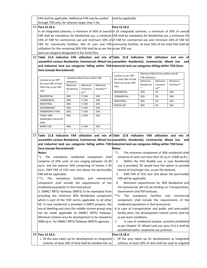| FAR shall be applicable. Additional FAR may be availed                                                         |                      |                                   |              | shall be applicable.                                                                                              |                                                                                                                |         |                                               |     |  |  |
|----------------------------------------------------------------------------------------------------------------|----------------------|-----------------------------------|--------------|-------------------------------------------------------------------------------------------------------------------|----------------------------------------------------------------------------------------------------------------|---------|-----------------------------------------------|-----|--|--|
| through TDR only, for schemes larger than 1 Ha.                                                                |                      |                                   |              |                                                                                                                   |                                                                                                                |         |                                               |     |  |  |
| 15   Para 12.18.2.                                                                                             |                      |                                   |              | Para 12.18.2.                                                                                                     |                                                                                                                |         |                                               |     |  |  |
|                                                                                                                |                      |                                   |              | In all integrated schemes, a minimum of 30% of overall in all integrated schemes, a minimum of 30% of overall     |                                                                                                                |         |                                               |     |  |  |
|                                                                                                                |                      |                                   |              |                                                                                                                   | FAR shall be mandatory for Residential use, a minimum FAR shall be mandatory for Residential use, a minimum 5% |         |                                               |     |  |  |
|                                                                                                                |                      |                                   |              | 10% of FAR for commercial use and minimum 10% of of FAR for commercial use and minimum 10% of FAR for             |                                                                                                                |         |                                               |     |  |  |
| FAR for community facilities. Mix of uses and FAR community facilities. At least 50% of the total FAR shall be |                      |                                   |              |                                                                                                                   |                                                                                                                |         |                                               |     |  |  |
| utilization for the remaining 50% FAR shall be as per the as per ZDP use.                                      |                      |                                   |              |                                                                                                                   |                                                                                                                |         |                                               |     |  |  |
| land use category designated in the Zonal Plan.                                                                |                      |                                   |              |                                                                                                                   |                                                                                                                |         |                                               |     |  |  |
| 16 Table 12.8 Indicative FAR utilization and mix of Table 12.8 Indicative FAR utilization and mix of           |                      |                                   |              |                                                                                                                   |                                                                                                                |         |                                               |     |  |  |
| useswithin various Residential, Commercial, Mixed Use useswithin Residential, Commercial, Mixed Use            |                      |                                   |              |                                                                                                                   |                                                                                                                |         |                                               | and |  |  |
| and Industrial land use categories falling within TOD Industrial land use categories falling within TOD Zone:  |                      |                                   |              |                                                                                                                   |                                                                                                                |         |                                               |     |  |  |
| Zone (except Recreational):                                                                                    |                      |                                   |              |                                                                                                                   |                                                                                                                |         |                                               |     |  |  |
|                                                                                                                |                      |                                   |              | Minimum Mix of Uses within overall                                                                                |                                                                                                                |         |                                               |     |  |  |
|                                                                                                                |                      | Indicative Mix of Uses within FAR |              | Landuse as per ZDP<br>(At Least 50% of total                                                                      | <b>FAR Utilization</b>                                                                                         |         |                                               |     |  |  |
| Landuse as per ZDP<br>(At Least 50% of total                                                                   | Utilization          |                                   |              | FAR to be as per ZDP                                                                                              | Minimum<br>Minimum<br>Minimum                                                                                  |         |                                               |     |  |  |
| FAR to be as per ZDP                                                                                           | <b>Minimum</b>       | Minimum                           | Minimum      | Use)                                                                                                              | Residential<br>$\ast$                                                                                          | Commerc | Facilities**                                  |     |  |  |
| Use)                                                                                                           | Residential          | Commerci                          | Facilities** |                                                                                                                   |                                                                                                                | $ial**$ |                                               |     |  |  |
| <b>RESIDENTIAL</b>                                                                                             | *                    | $al**$                            |              | RESIDENTIAL<br>COMMERCIAL                                                                                         | 30%                                                                                                            | 5%      | 10%                                           |     |  |  |
| COMMERCIAL                                                                                                     | 30%<br>30%           | 5-10%<br>5-10%                    | 10%<br>10%   |                                                                                                                   | 30%                                                                                                            | 5%      | 10%                                           |     |  |  |
| <b>INDUSTRIAL</b>                                                                                              | 30%                  | 5-10%                             | 10%          | <b>INDUSTRIAL</b>                                                                                                 | 30%                                                                                                            | 5%      | 10%                                           |     |  |  |
| <b>GOVERNMENT</b>                                                                                              | 30%                  | 5-10%                             | 10%          | MIXED-USE                                                                                                         | 30%                                                                                                            | 5%      | 10%                                           |     |  |  |
| <b>TRANSPORTA-TION</b>                                                                                         | 10%<br>5-10%<br>30%  |                                   |              |                                                                                                                   |                                                                                                                |         |                                               |     |  |  |
| <b>PUBLIC AND</b>                                                                                              | 30%                  | 5-10%                             | 10%          |                                                                                                                   |                                                                                                                |         |                                               |     |  |  |
| SEMIPUBLIC FACILITES                                                                                           |                      |                                   |              |                                                                                                                   |                                                                                                                |         |                                               |     |  |  |
| (PSP)                                                                                                          |                      |                                   |              |                                                                                                                   |                                                                                                                |         |                                               |     |  |  |
| MIXED-USE                                                                                                      | 30%                  | 5-10%                             | 10%          |                                                                                                                   |                                                                                                                |         |                                               |     |  |  |
|                                                                                                                |                      |                                   |              |                                                                                                                   |                                                                                                                |         |                                               |     |  |  |
| 17 Table 12.8 Indicative FAR utilization and mix of Table 12.8 Indicative FAR utilization and mix of           |                      |                                   |              |                                                                                                                   |                                                                                                                |         |                                               |     |  |  |
| useswithin various Residential, Commercial, Mixed Use useswithin Residential, Commercial, Mixed Use            |                      |                                   |              |                                                                                                                   |                                                                                                                |         |                                               | and |  |  |
| and Industrial land use categories falling within TOD Industrial land use categories falling within TOD Zone:  |                      |                                   |              |                                                                                                                   |                                                                                                                |         |                                               |     |  |  |
| Zone (except Recreational):                                                                                    |                      |                                   |              | Notes:                                                                                                            |                                                                                                                |         |                                               |     |  |  |
| Notes:                                                                                                         |                      |                                   |              | $*_{1.}$                                                                                                          | The minimum component of 30% residential shall                                                                 |         |                                               |     |  |  |
| *1. The mandatory residential component shall                                                                  |                      |                                   |              | comprise of units not more than 93 sq.m. (1000 sq.ft.).                                                           |                                                                                                                |         |                                               |     |  |  |
| comprise of 50% units of size ranging between 32-40                                                            |                      |                                   |              | Within the 55% flexible use, in case Residential<br>2.<br>use is provided, DE would have the option to provide    |                                                                                                                |         |                                               |     |  |  |
| sq.m. and the balance 50% comprising of homes $\leq 65$                                                        |                      |                                   |              |                                                                                                                   |                                                                                                                |         |                                               |     |  |  |
| sq.m. EWS FAR of 15% over and above the permissible                                                            |                      |                                   |              | homes of any/larger size, as per the demand.                                                                      |                                                                                                                |         |                                               |     |  |  |
| FAR will be applicable.                                                                                        |                      |                                   |              | 3.                                                                                                                |                                                                                                                |         | EWS FAR of 15% over and above the permissible |     |  |  |
| **2.<br>The                                                                                                    | mandatory facilities | and                               | commercial   | FAR will be applicable.                                                                                           |                                                                                                                |         |                                               |     |  |  |
| component shall include the requirements of the                                                                |                      |                                   |              | 4.                                                                                                                |                                                                                                                |         | Minimum requirements for 30% Residential and  |     |  |  |
| residential population in that land parcel.                                                                    |                      |                                   |              | 5% Commercial will not be binding on Transportation,                                                              |                                                                                                                |         |                                               |     |  |  |
| 3. DMRC/ RRTS/ Railways (MRTS) to be exempted from                                                             |                      |                                   |              | Government and PSP landuses.                                                                                      |                                                                                                                |         |                                               |     |  |  |
| providing the minimum 30% Residential component                                                                |                      |                                   |              | The<br>mandatory facilities<br>commercial<br>**5.<br>and                                                          |                                                                                                                |         |                                               |     |  |  |
| which is part of the TOD norms applicable to all other                                                         |                      |                                   |              | component shall include the requirements of the                                                                   |                                                                                                                |         |                                               |     |  |  |
| DE. In case residential is provided in MRTS projects, the                                                      |                      |                                   |              | residential population in that land parcel.                                                                       |                                                                                                                |         |                                               |     |  |  |
| mix of dwelling unit sizes (for middle income group) may                                                       |                      |                                   |              | 6. In case of transportation and public and semi-public<br>facility plots, the development control norms shall be |                                                                                                                |         |                                               |     |  |  |
| not be made applicable to DMRC/ RRTS/ Railways.                                                                |                      |                                   |              |                                                                                                                   |                                                                                                                |         |                                               |     |  |  |
| Minimum scheme area for development to be relaxed to                                                           |                      |                                   |              | as per lease conditions.                                                                                          |                                                                                                                |         |                                               |     |  |  |
| 3000 sq.m. for DMRC/ RRTS/ Railways (MRTS) agencies.                                                           |                      |                                   |              | 7.                                                                                                                |                                                                                                                |         |                                               |     |  |  |
|                                                                                                                |                      |                                   |              | In case of residential landuse, activities prohibited<br>as per Chapter 15: Mixed Land use, para 15.6.2 shall be  |                                                                                                                |         |                                               |     |  |  |
|                                                                                                                |                      |                                   |              | prohibited within residential use premises.                                                                       |                                                                                                                |         |                                               |     |  |  |
| 18 Para 12.18.3.                                                                                               |                      |                                   |              | Para 12.18.3.                                                                                                     |                                                                                                                |         |                                               |     |  |  |
| i. Of the area taken up for development as integrated i.                                                       |                      |                                   |              | Of the area taken up for development as integrated                                                                |                                                                                                                |         |                                               |     |  |  |
| scheme, at least 20% of land shall be handed over as                                                           |                      |                                   |              | scheme, at least 20% of land shall be used as ungated                                                             |                                                                                                                |         |                                               |     |  |  |
|                                                                                                                |                      |                                   |              |                                                                                                                   |                                                                                                                |         |                                               |     |  |  |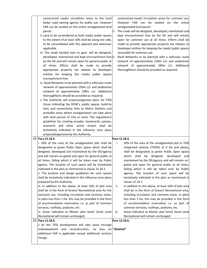| constructed roads/ circulation areas to the local                                      |      | constructed roads/ circulation areas for common use.                                         |
|----------------------------------------------------------------------------------------|------|----------------------------------------------------------------------------------------------|
| body/ road owning agency for public use. However                                       |      | However FAR can be availed on the entire                                                     |
| FAR can be availed on the entire amalgamated land                                      |      | amalgamated land parcel.                                                                     |
| parcel.                                                                                | ii.  | The roads will be designed, developed, maintained and                                        |
| ii. Land to be surrendered as built roads/ public spaces                               |      | kept encroachment free by the DE and will remain                                             |
| to the extent of at least 10% shall be along one side,                                 |      | open for common use at all times. Efforts shall be                                           |
| to be consolidated with the adjacent plot wherever                                     |      | made to provide appropriate property tax rebates to                                          |
| applicable.                                                                            |      | Developer entities for keeping the roads/ public spaces                                      |
|                                                                                        |      | accessible for common use.                                                                   |
| iii. The roads handed over to govt. will be designed,                                  |      |                                                                                              |
| developed, maintained and kept encroachment free iii.                                  |      | Road Networks to be planned with a vehicular route                                           |
| by the DE and will remain open for general public at                                   |      | network of approximately 250m c/c and pedestrian                                             |
| all times. Efforts shall be made to provide                                            |      | network of approximately 100m c/c. Additional                                                |
| appropriate property tax rebates to Developer                                          |      | thoroughfares should be provided as required.                                                |
| entities for keeping the roads/ public spaces                                          |      |                                                                                              |
| encroachment free.                                                                     |      |                                                                                              |
| iv. Road Networks to be planned with a vehicular route                                 |      |                                                                                              |
| network of approximately 250m c/c and pedestrian                                       |      |                                                                                              |
| network of approximately 100m c/c. Additional                                          |      |                                                                                              |
| thoroughfares should be provided as required.                                          |      |                                                                                              |
| v. The Authority will prepare/approve plans for TOD                                    |      |                                                                                              |
| Zones indicating the ROW's, public spaces, build-to                                    |      |                                                                                              |
| lines and connectivity links to Metro Stations and                                     |      |                                                                                              |
| probable areas where amalgamation can take place                                       |      |                                                                                              |
| with land parcels of 1Ha or more. The regulations/                                     |      |                                                                                              |
| guidelines for creating arcades, boulevards, paseos,                                   |      |                                                                                              |
| woonerfs and other active streets shall be                                             |      |                                                                                              |
| tentatively indicated in the influence zone plans                                      |      |                                                                                              |
| prepared/approved by the Authority.                                                    |      |                                                                                              |
| 19 Para 12.18.4.                                                                       |      | Para 12.18.4.                                                                                |
| i. 20% of the area of the amalgamated plot shall be                                    | i.   | 20% of the area of the amalgamated plot in TOD                                               |
| designated as green Public Open Space which shall be                                   |      | integrated scheme (TODIS) of 4 Ha and above,                                                 |
| designed, developed and maintained by the DE/agency                                    |      | shall be designated as green Public Open Space                                               |
| and will remain un-gated and open for general public at                                |      | which shall be designed, developed<br>and<br>maintained by the DE/agency and will remain un- |
| all times, failing which it will be taken over by Public                               |      |                                                                                              |
| agency. The location of such space will be tentatively                                 |      | gated and open for general public at all times,                                              |
| indicated in the plan as mentioned in clause 12.18.1.                                  |      | failing which it will be taken over by Public                                                |
| ii. The location and design guidelines for such spaces                                 |      | agency. The location of such space will be                                                   |
| shall be tentatively indicated in the influence zone plans                             |      | tentatively indicated in the plan as mentioned in<br>clause 12.18.1.                         |
| prepared by the Authority.<br>iii. In addition to the above, at least 10% of plot area |      | In addition to the above, at least 10% of plot area                                          |
| shall be in the form of Green/ Recreational area for the                               | ii.  | shall be in the form of Green/ Recreational area,                                            |
| exclusive use, including circulation and common areas.                                 |      | including circulation and common areas. In plots                                             |
| In plots less than 1 Ha, this may be provided in the form                              |      | less than 1 Ha, this may be provided in the form                                             |
| of accommodation reservation i.e. as part of common                                    |      | of accommodation reservation i.e. as part of                                                 |
| terraces, rooftops, podiums, etc.                                                      |      | common terraces, rooftops, podiums, etc.                                                     |
| iv. Areas indicated as Master plan level/ Zonal Level                                  | iii. | Areas indicated as Master plan level/ Zonal Level                                            |
| Recreational will remain unchanged.                                                    |      | Recreational will remain unchanged.                                                          |
| 20 Para 12.18.6.                                                                       |      | Para 12.18.6.                                                                                |
| ii As the TOD development will take place through                                      |      |                                                                                              |
| no levy on "Deleted"<br>redevelopment<br>and reconstruction,                           |      |                                                                                              |
| additional FAR is applicable except additional services                                |      |                                                                                              |
| charge.                                                                                |      |                                                                                              |
|                                                                                        |      |                                                                                              |